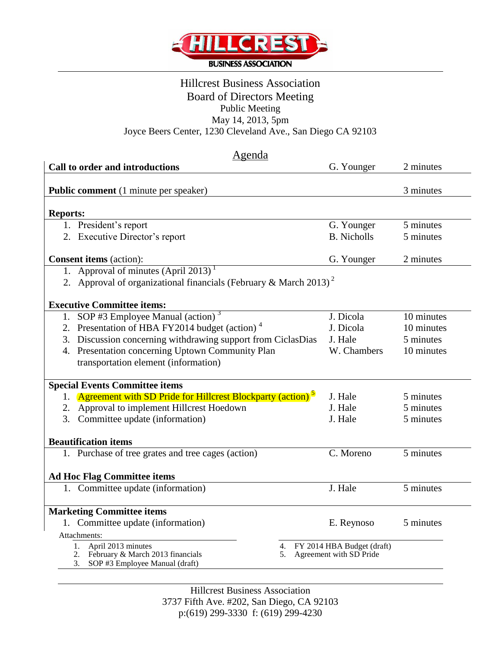

# Hillcrest Business Association Board of Directors Meeting Public Meeting May 14, 2013, 5pm Joyce Beers Center, 1230 Cleveland Ave., San Diego CA 92103

| Agenda                                                                                 |                                                                           |                                                          |            |  |  |
|----------------------------------------------------------------------------------------|---------------------------------------------------------------------------|----------------------------------------------------------|------------|--|--|
|                                                                                        | Call to order and introductions                                           | G. Younger                                               | 2 minutes  |  |  |
|                                                                                        |                                                                           |                                                          |            |  |  |
|                                                                                        | Public comment (1 minute per speaker)                                     |                                                          | 3 minutes  |  |  |
|                                                                                        |                                                                           |                                                          |            |  |  |
| <b>Reports:</b>                                                                        |                                                                           |                                                          |            |  |  |
|                                                                                        | 1. President's report                                                     | G. Younger                                               | 5 minutes  |  |  |
|                                                                                        | 2. Executive Director's report                                            | <b>B.</b> Nicholls                                       | 5 minutes  |  |  |
|                                                                                        | <b>Consent items</b> (action):                                            | G. Younger                                               | 2 minutes  |  |  |
|                                                                                        | 1. Approval of minutes $(Apri1 2013)^T$                                   |                                                          |            |  |  |
| 2. Approval of organizational financials (February & March 2013) <sup>2</sup>          |                                                                           |                                                          |            |  |  |
|                                                                                        |                                                                           |                                                          |            |  |  |
|                                                                                        | <b>Executive Committee items:</b>                                         |                                                          |            |  |  |
|                                                                                        | 1. SOP #3 Employee Manual (action) $3$                                    | J. Dicola                                                | 10 minutes |  |  |
|                                                                                        | 2. Presentation of HBA FY2014 budget (action) <sup>4</sup>                | J. Dicola                                                | 10 minutes |  |  |
| 3.                                                                                     | Discussion concerning withdrawing support from CiclasDias                 | J. Hale                                                  | 5 minutes  |  |  |
|                                                                                        | 4. Presentation concerning Uptown Community Plan                          | W. Chambers                                              | 10 minutes |  |  |
|                                                                                        | transportation element (information)                                      |                                                          |            |  |  |
|                                                                                        | <b>Special Events Committee items</b>                                     |                                                          |            |  |  |
|                                                                                        | 1. Agreement with SD Pride for Hillcrest Blockparty (action) <sup>5</sup> | J. Hale                                                  | 5 minutes  |  |  |
| 2.                                                                                     | Approval to implement Hillcrest Hoedown                                   | J. Hale                                                  | 5 minutes  |  |  |
| 3.                                                                                     | Committee update (information)                                            | J. Hale                                                  | 5 minutes  |  |  |
|                                                                                        |                                                                           |                                                          |            |  |  |
|                                                                                        | <b>Beautification items</b>                                               |                                                          |            |  |  |
|                                                                                        | 1. Purchase of tree grates and tree cages (action)                        | C. Moreno                                                | 5 minutes  |  |  |
|                                                                                        |                                                                           |                                                          |            |  |  |
| <b>Ad Hoc Flag Committee items</b>                                                     |                                                                           |                                                          |            |  |  |
|                                                                                        | 1. Committee update (information)                                         | J. Hale                                                  | 5 minutes  |  |  |
|                                                                                        |                                                                           |                                                          |            |  |  |
|                                                                                        | <b>Marketing Committee items</b>                                          |                                                          |            |  |  |
|                                                                                        | 1. Committee update (information)                                         | E. Reynoso                                               | 5 minutes  |  |  |
| Attachments:                                                                           |                                                                           |                                                          |            |  |  |
|                                                                                        | 1. April 2013 minutes                                                     | 4. FY 2014 HBA Budget (draft)<br>Agreement with SD Pride |            |  |  |
| 2. February & March 2013 financials<br>5.<br>SOP #3 Employee Manual (draft)<br>$3_{1}$ |                                                                           |                                                          |            |  |  |
|                                                                                        |                                                                           |                                                          |            |  |  |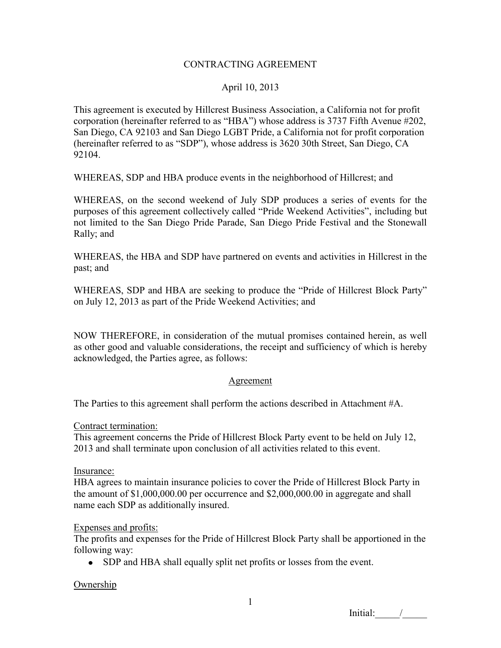### CONTRACTING AGREEMENT

## April 10, 2013

This agreement is executed by Hillcrest Business Association, a California not for profit corporation (hereinafter referred to as "HBA") whose address is 3737 Fifth Avenue #202, San Diego, CA 92103 and San Diego LGBT Pride, a California not for profit corporation (hereinafter referred to as "SDP"), whose address is 3620 30th Street, San Diego, CA 92104.

WHEREAS, SDP and HBA produce events in the neighborhood of Hillcrest; and

WHEREAS, on the second weekend of July SDP produces a series of events for the purposes of this agreement collectively called "Pride Weekend Activities", including but not limited to the San Diego Pride Parade, San Diego Pride Festival and the Stonewall Rally; and

WHEREAS, the HBA and SDP have partnered on events and activities in Hillcrest in the past; and

WHEREAS, SDP and HBA are seeking to produce the "Pride of Hillcrest Block Party" on July 12, 2013 as part of the Pride Weekend Activities; and

NOW THEREFORE, in consideration of the mutual promises contained herein, as well as other good and valuable considerations, the receipt and sufficiency of which is hereby acknowledged, the Parties agree, as follows:

#### Agreement

The Parties to this agreement shall perform the actions described in Attachment #A.

#### Contract termination:

This agreement concerns the Pride of Hillcrest Block Party event to be held on July 12, 2013 and shall terminate upon conclusion of all activities related to this event.

#### Insurance:

HBA agrees to maintain insurance policies to cover the Pride of Hillcrest Block Party in the amount of \$1,000,000.00 per occurrence and \$2,000,000.00 in aggregate and shall name each SDP as additionally insured.

#### Expenses and profits:

The profits and expenses for the Pride of Hillcrest Block Party shall be apportioned in the following way:

• SDP and HBA shall equally split net profits or losses from the event.

## **Ownership**

 $Initial:$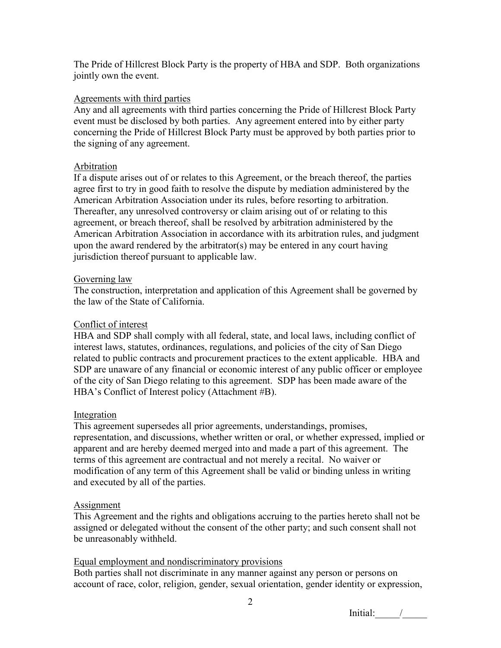The Pride of Hillcrest Block Party is the property of HBA and SDP. Both organizations jointly own the event.

## Agreements with third parties

Any and all agreements with third parties concerning the Pride of Hillcrest Block Party event must be disclosed by both parties. Any agreement entered into by either party concerning the Pride of Hillcrest Block Party must be approved by both parties prior to the signing of any agreement.

### Arbitration

If a dispute arises out of or relates to this Agreement, or the breach thereof, the parties agree first to try in good faith to resolve the dispute by mediation administered by the American Arbitration Association under its rules, before resorting to arbitration. Thereafter, any unresolved controversy or claim arising out of or relating to this agreement, or breach thereof, shall be resolved by arbitration administered by the American Arbitration Association in accordance with its arbitration rules, and judgment upon the award rendered by the arbitrator(s) may be entered in any court having jurisdiction thereof pursuant to applicable law.

### Governing law

The construction, interpretation and application of this Agreement shall be governed by the law of the State of California.

## Conflict of interest

HBA and SDP shall comply with all federal, state, and local laws, including conflict of interest laws, statutes, ordinances, regulations, and policies of the city of San Diego related to public contracts and procurement practices to the extent applicable. HBA and SDP are unaware of any financial or economic interest of any public officer or employee of the city of San Diego relating to this agreement. SDP has been made aware of the HBA's Conflict of Interest policy (Attachment #B).

#### Integration

This agreement supersedes all prior agreements, understandings, promises, representation, and discussions, whether written or oral, or whether expressed, implied or apparent and are hereby deemed merged into and made a part of this agreement. The terms of this agreement are contractual and not merely a recital. No waiver or modification of any term of this Agreement shall be valid or binding unless in writing and executed by all of the parties.

#### **Assignment**

This Agreement and the rights and obligations accruing to the parties hereto shall not be assigned or delegated without the consent of the other party; and such consent shall not be unreasonably withheld.

## Equal employment and nondiscriminatory provisions

Both parties shall not discriminate in any manner against any person or persons on account of race, color, religion, gender, sexual orientation, gender identity or expression,

 $Initial:$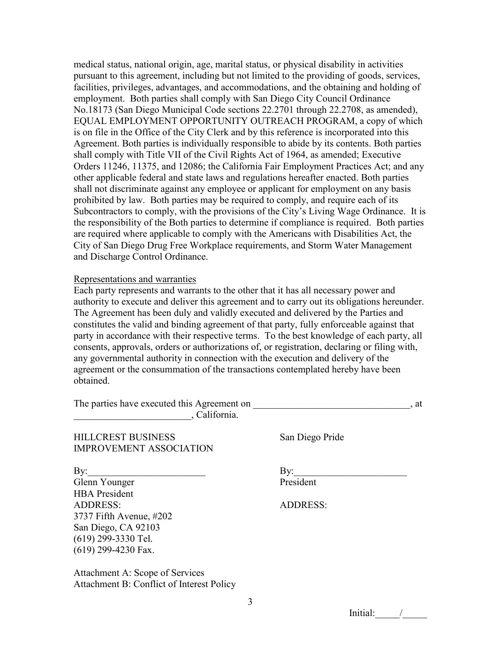medical status, national origin, age, marital status, or physical disability in activities pursuant to this agreement, including but not limited to the providing of goods, services, facilities, privileges, advantages, and accommodations, and the obtaining and holding of employment. Both parties shall comply with San Diego City Council Ordinance No.18173 (San Diego Municipal Code sections 22.2701 through 22.2708, as amended), EQUAL EMPLOYMENT OPPORTUNITY OUTREACH PROGRAM, a copy of which is on file in the Office of the City Clerk and by this reference is incorporated into this Agreement. Both parties is individually responsible to abide by its contents. Both parties shall comply with Title VII of the Civil Rights Act of 1964, as amended; Executive Orders 11246, 11375, and 12086; the California Fair Employment Practices Act; and any other applicable federal and state laws and regulations hereafter enacted. Both parties shall not discriminate against any employee or applicant for employment on any basis prohibited by law. Both parties may be required to comply, and require each of its Subcontractors to comply, with the provisions of the City's Living Wage Ordinance. It is the responsibility of the Both parties to determine if compliance is required. Both parties are required where applicable to comply with the Americans with Disabilities Act, the City of San Diego Drug Free Workplace requirements, and Storm Water Management and Discharge Control Ordinance.

#### Representations and warranties

Each party represents and warrants to the other that it has all necessary power and authority to execute and deliver this agreement and to carry out its obligations hereunder. The Agreement has been duly and validly executed and delivered by the Parties and constitutes the valid and binding agreement of that party, fully enforceable against that party in accordance with their respective terms. To the best knowledge of each party, all consents, approvals, orders or authorizations of, or registration, declaring or filing with, any governmental authority in connection with the execution and delivery of the agreement or the consummation of the transactions contemplated hereby have been obtained.

| The parties have executed this Agreement on<br>, California. |                 | . at |
|--------------------------------------------------------------|-----------------|------|
| <b>HILLCREST BUSINESS</b><br><b>IMPROVEMENT ASSOCIATION</b>  | San Diego Pride |      |
| $\mathbf{By:}$                                               | $\mathbf{B}$ y: |      |
| Glenn Younger                                                | President       |      |
| <b>HBA</b> President                                         |                 |      |
| <b>ADDRESS:</b>                                              | <b>ADDRESS:</b> |      |
| 3737 Fifth Avenue, #202                                      |                 |      |
| San Diego, CA 92103                                          |                 |      |
| $(619)$ 299-3330 Tel.                                        |                 |      |
| $(619)$ 299-4230 Fax.                                        |                 |      |
| Attachment A: Scope of Services                              |                 |      |
| Attachment B: Conflict of Interest Policy                    |                 |      |

Initial:  $\frac{1}{2}$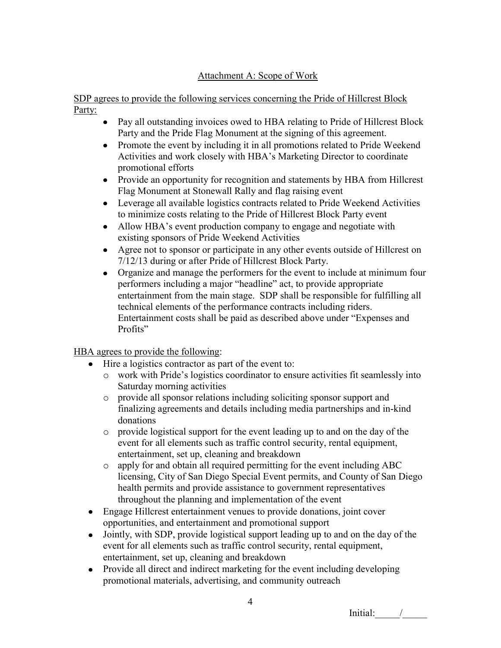# Attachment A: Scope of Work

SDP agrees to provide the following services concerning the Pride of Hillcrest Block Party:

- Pay all outstanding invoices owed to HBA relating to Pride of Hillcrest Block Party and the Pride Flag Monument at the signing of this agreement.
- Promote the event by including it in all promotions related to Pride Weekend Activities and work closely with HBA's Marketing Director to coordinate promotional efforts
- Provide an opportunity for recognition and statements by HBA from Hillcrest Flag Monument at Stonewall Rally and flag raising event
- Leverage all available logistics contracts related to Pride Weekend Activities to minimize costs relating to the Pride of Hillcrest Block Party event
- Allow HBA's event production company to engage and negotiate with  $\bullet$ existing sponsors of Pride Weekend Activities
- Agree not to sponsor or participate in any other events outside of Hillcrest on 7/12/13 during or after Pride of Hillcrest Block Party.
- Organize and manage the performers for the event to include at minimum four performers including a major "headline" act, to provide appropriate entertainment from the main stage. SDP shall be responsible for fulfilling all technical elements of the performance contracts including riders. Entertainment costs shall be paid as described above under "Expenses and Profits"

HBA agrees to provide the following:

- Hire a logistics contractor as part of the event to:
	- o work with Pride's logistics coordinator to ensure activities fit seamlessly into Saturday morning activities
	- o provide all sponsor relations including soliciting sponsor support and finalizing agreements and details including media partnerships and in-kind donations
	- o provide logistical support for the event leading up to and on the day of the event for all elements such as traffic control security, rental equipment, entertainment, set up, cleaning and breakdown
	- o apply for and obtain all required permitting for the event including ABC licensing, City of San Diego Special Event permits, and County of San Diego health permits and provide assistance to government representatives throughout the planning and implementation of the event
- Engage Hillcrest entertainment venues to provide donations, joint cover opportunities, and entertainment and promotional support
- Jointly, with SDP, provide logistical support leading up to and on the day of the event for all elements such as traffic control security, rental equipment, entertainment, set up, cleaning and breakdown
- Provide all direct and indirect marketing for the event including developing promotional materials, advertising, and community outreach

Initial: /